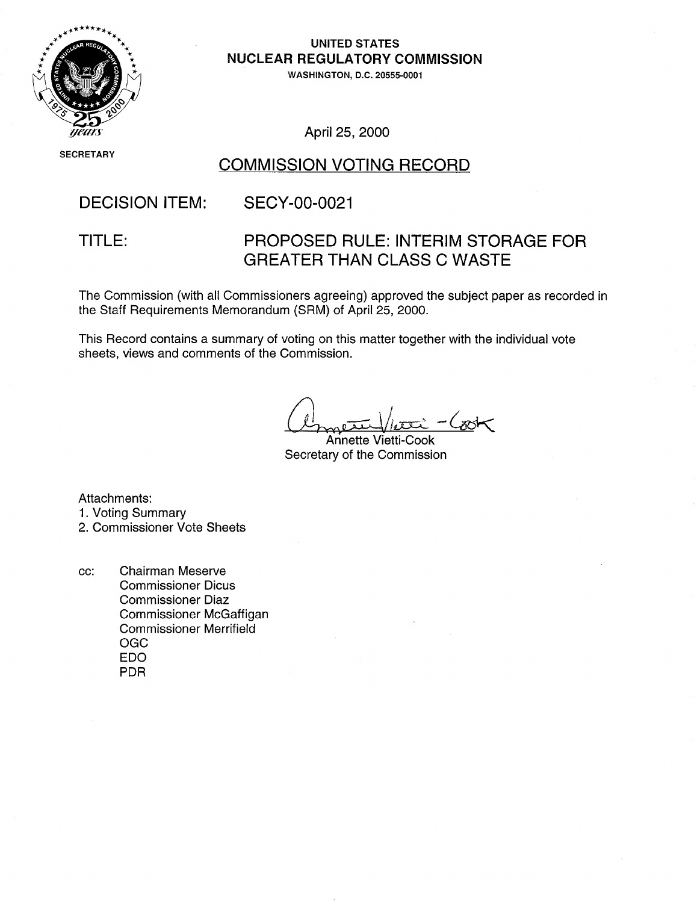

**UNITED STATES**  \*• **NUCLEAR** REGULATORY **COMMISSION** 

**WASHINGTON, D.C. 20555-0001** 

SECRETARY

**,/ea/i** April 25, 2000

### COMMISSION VOTING RECORD

# DECISION ITEM: SECY-00-0021

### TITLE: PROPOSED RULE: INTERIM STORAGE FOR GREATER THAN CLASS C WASTE

The Commission (with all Commissioners agreeing) approved the subject paper as recorded in the Staff Requirements Memorandum (SRM) of April 25, 2000.

This Record contains a summary of voting on this matter together with the individual vote sheets, views and comments of the Commission.

Annette Vietti-Cook Secretary of the Commission

Attachments:

- 1. Voting Summary
- 2. Commissioner Vote Sheets
- cc: Chairman Meserve Commissioner Dicus Commissioner Diaz Commissioner McGaffigan Commissioner Merrifield OGC EDO PDR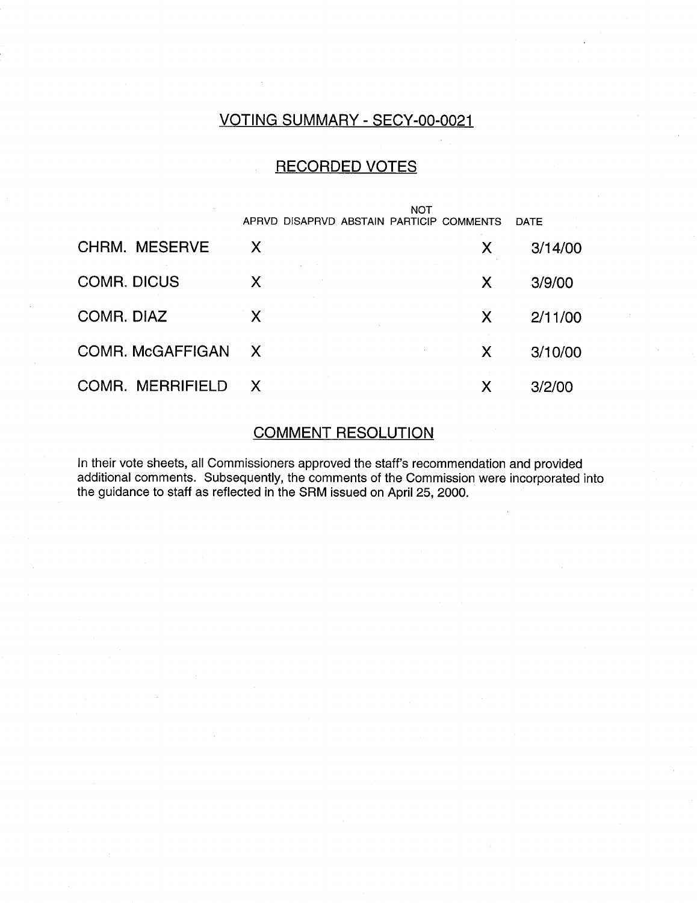#### VOTING SUMMARY - SECY-00-0021

#### RECORDED VOTES

|                         | NOT<br>APRVD DISAPRVD ABSTAIN PARTICIP COMMENTS |   | <b>DATE</b> |
|-------------------------|-------------------------------------------------|---|-------------|
| <b>CHRM. MESERVE</b>    | X                                               | X | 3/14/00     |
| <b>COMR. DICUS</b>      | X                                               | X | 3/9/00      |
| COMR. DIAZ              | X                                               | X | 2/11/00     |
| COMR. McGAFFIGAN        | $\mathsf{X}$                                    | X | 3/10/00     |
| <b>COMR. MERRIFIELD</b> | $\mathsf{X}$                                    | Χ | 3/2/00      |

# COMMENT RESOLUTION

In their vote sheets, all Commissioners approved the staff's recommendation and provided additional comments. Subsequently, the comments of the Commission were incorporated into the guidance to staff as reflected in the SRM issued on April 25, 2000.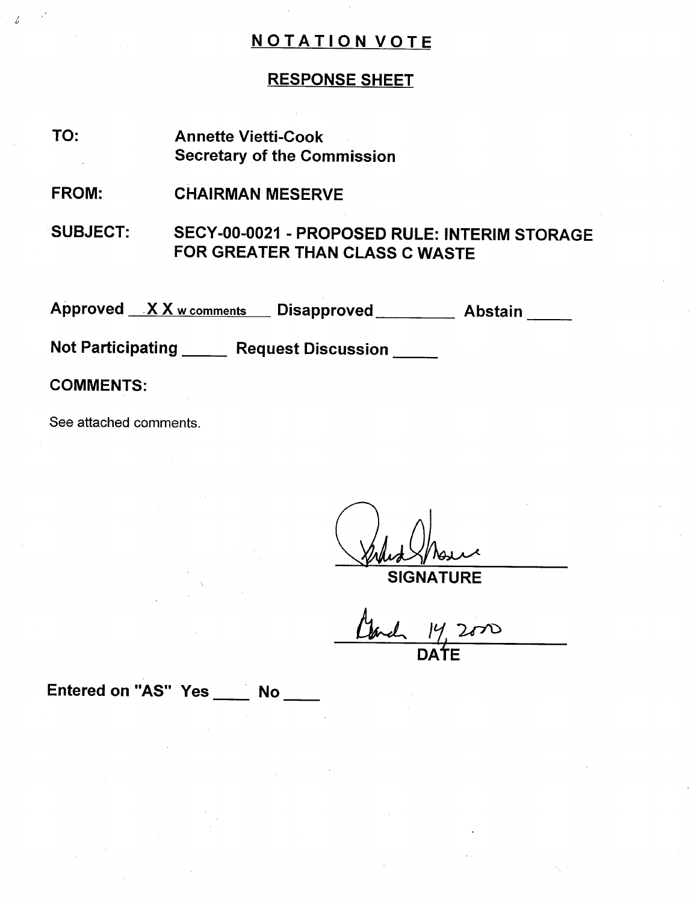#### RESPONSE SHEET

TO: Annette Vietti-Cook Secretary of the Commission

FROM: CHAIRMAN MESERVE

SUBJECT: SECY-00-0021 - PROPOSED RULE: INTERIM STORAGE FOR GREATER THAN CLASS C WASTE

Approved XX w comments Disapproved Abstain

Not Participating \_\_\_\_\_ Request Discussion

COMMENTS:

See attached comments.

SIGNATURE DAtE

Entered on "AS" Yes No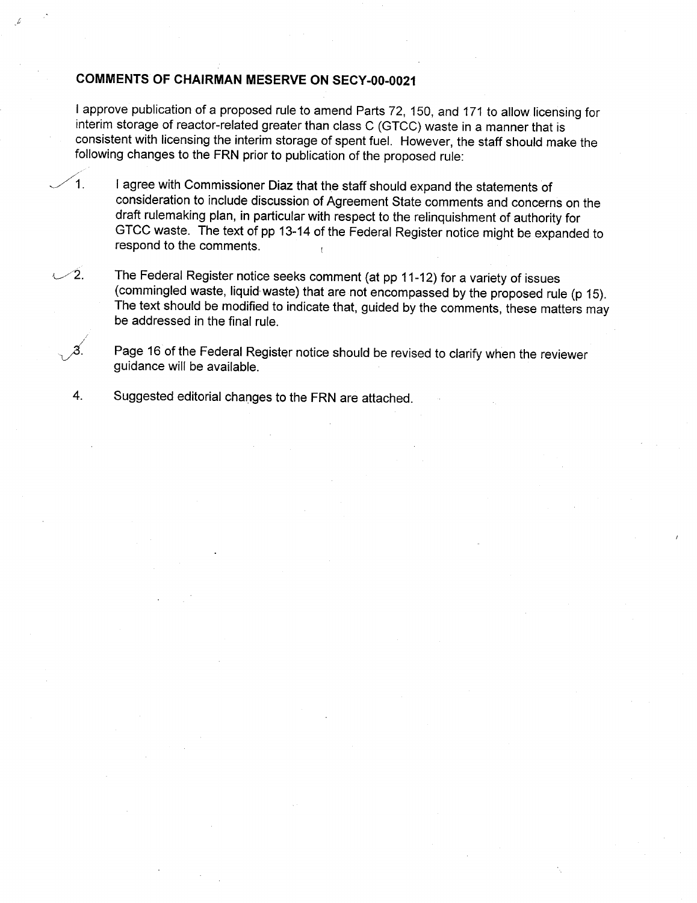#### **COMMENTS** OF CHAIRMAN MESERVE **ON SECY-00-0021**

I approve publication of a proposed rule to amend Parts 72, 150, and 171 to allow licensing for interim storage of reactor-related greater than class C (GTCC) waste in a manner that is consistent with licensing the interim storage of spent fuel. However, the staff should make the following changes to the FRN prior to publication of the proposed rule:

1. I agree with Commissioner Diaz that the staff should expand the statements of consideration to include discussion of Agreement State comments and concerns on the draft rulemaking plan, in particular with respect to the relinquishment of authority for GTCC waste. The text of pp 13-14 of the Federal Register notice might be expanded to respond to the comments.

 $\angle$ 2. The Federal Register notice seeks comment (at pp 11-12) for a variety of issues (commingled waste, liquid-waste) that are not encompassed by the proposed rule (p 15). The text should be modified to indicate that, guided by the comments, these matters may be addressed in the final rule.

Page 16 of the Federal Register notice should be revised to clarify when the reviewer guidance will be available.

4. Suggested editorial changes to the FRN are attached.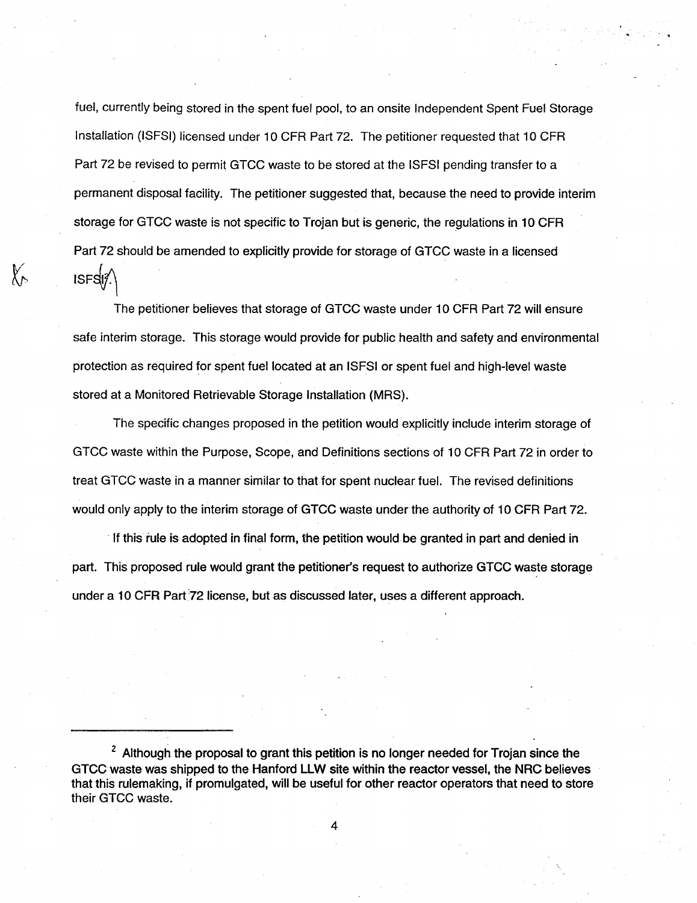fuel, currently being stored in the spent fuel pool, to an onsite Independent Spent Fuel Storage Installation (ISFSI) licensed under 10 CFR Part 72. The petitioner requested that 10 CFR Part 72 be revised to permit GTCC waste to be stored at the ISFSI pending transfer to a permanent disposal facility. The petitioner suggested that, because the need to provide interim storage for GTCC waste is not specific to Trojan but is generic, the regulations in 10 CFR Part 72 should be amended to explicitly provide for storage of GTCC waste in a licensed  $ISFS\mathcal{A}$ 

The petitioner believes that storage of GTCC waste under 10 CFR Part 72 will ensure safe interim storage. This storage would provide for public health and safety and environmental protection as required for spent fuel located at an ISFSI or spent fuel and high-level waste stored at a Monitored Retrievable Storage Installation (MRS).

X,

The specific changes proposed in the petition would explicitly include interim storage of GTCC waste within the Purpose, Scope, and Definitions sections of 10 CFR Part 72 in order to treat GTCC waste in a manner similar to that for spent nuclear fuel. The revised definitions would only apply to the interim storage of GTCC waste under the authority of 10 CFR Part 72.

If this rule is adopted in final form, the petition would be granted in part and denied in part. This proposed rule would grant the petitioner's request to authorize GTCC waste storage under a 10 CFR Part 72 license, but as discussed later, uses a different approach.

 $2$  Although the proposal to grant this petition is no longer needed for Trojan since the GTCC waste was shipped to the Hanford LLW site within the reactor vessel, the NRC believes that this rulemaking, if promulgated, will be useful for other reactor operators that need to store their GTCC waste.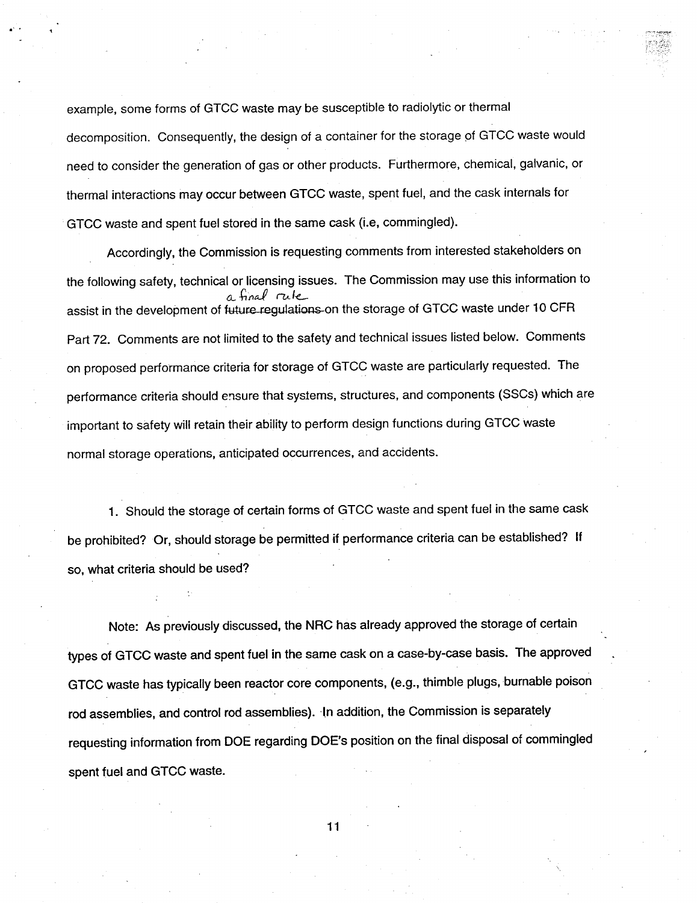example, some forms of GTCC waste may be susceptible to radiolytic or thermal decomposition. Consequently, the design of a container for the storage of GTCC waste would need to consider the generation of gas or other products. Furthermore, chemical, galvanic, or thermal interactions may occur between GTCC waste, spent fuel, and the cask internals for GTCC waste and spent fuel stored in the same cask (i.e, commingled).

Accordingly, the Commission is requesting comments from interested stakeholders on the following safety, technical or licensing issues. The Commission may use this information to  $\theta$  final  $\theta$  final assist in the development of future-regulations-on the storage of GTCC waste under 10 CFR Part 72. Comments are not limited to the safety and technical issues listed below. Comments on proposed performance criteria for storage of GTCC waste are particularly requested. The performance criteria should ensure that systems, structures, and components (SSCs) which are important to safety will retain their ability to perform design functions during GTCC waste normal storage operations, anticipated occurrences, and accidents.

1. Should the storage of certain forms of GTCC waste and spent fuel in the same cask be prohibited? Or, should storage be permitted if performance criteria can be established? If so, what criteria should be used?

Note: As previously discussed, the NRC has already approved the storage of certain types of GTCC waste and spent fuel in the same cask on a case-by-case basis. The approved GTCC waste has typically been reactor core components, (e.g., thimble plugs, burnable poison rod assemblies, and control rod assemblies). in addition, the Commission is separately requesting information from DOE regarding DOE's position on the final disposal of commingled spent fuel and GTCC waste.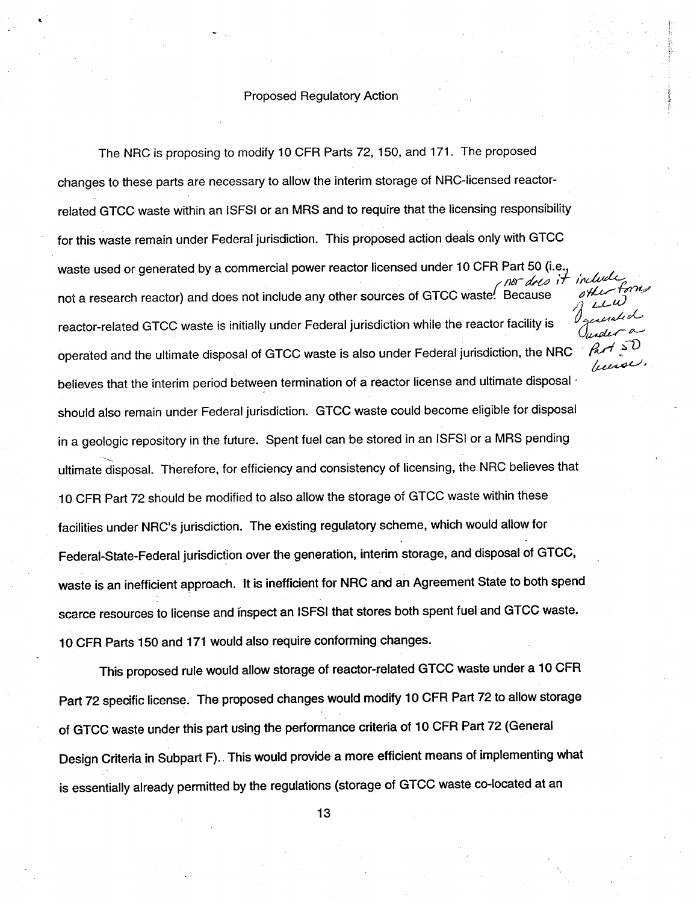#### Proposed Regulatory Action

t

The NRC is proposing to modify 10 CFR Parts 72, 150, and 171. The proposed changes to these parts are necessary to allow the interim storage of NRC-licensed reactor related **GTCC** waste within an ISFSI or an MRS and to require that the licensing responsibility for this waste remain under Federal jurisdiction. This proposed action deals only with GTCC waste used or generated by a commercial power reactor licensed under 10 CFR Part 50 (i.e.,  $\frac{1}{\sqrt{N}}$ not a research reactor) and does not include any other sources of GTCC waste. Because reactor-related GTCC waste is initially under Federal jurisdiction while the reactor facility is operated and the ultimate disposal of GTCC waste is also under Federal jurisdiction, the NRC liseve believes that the interim period between termination of a reactor license and ultimate disposal  $\cdot$ should also remain under Federal jurisdiction. GTCC waste could become eligible for disposal in a geologic repository in the future. Spent fuel can be stored in an ISFSI or a MRS pending ultimate disposal. Therefore, for efficiency and consistency of licensing, the NRC believes that 10 CFR Part 72 should be modified to also allow the storage of GTCC waste within these facilities under NRC's jurisdiction. The existing regulatory scheme, which would allow for Federal-State-Federal jurisdiction over the generation, interim storage, and disposal of GTCC, waste is an inefficient approach. It is inefficient for NRC and an Agreement State to both spend scarce resources to license and inspect an ISFSI that stores both spent fuel and GTCC waste. 10 CFR Parts 150 and 171 would also require conforming changes.

This proposed rule would allow storage of reactor-related GTCC waste under a 10 CFR Part 72 specific license. The proposed changes would modify 10 CFR Part 72 to allow storage of GTCC waste under this part using the performance criteria of 10 CFR Part 72 (General Design Criteria in Subpart F). This would provide a more efficient means of implementing what is essentially already permitted by the regulations (storage of GTCC waste co-located at an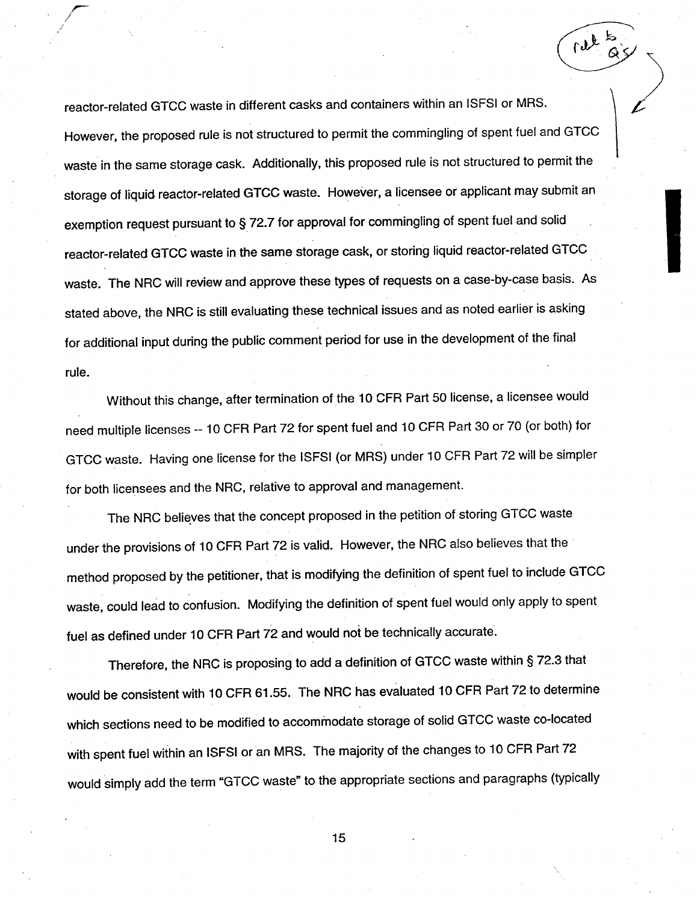reactor-related GTCC waste in different casks and containers within an ISFSI or MRS. However, the proposed rule is not structured to permit the commingling of spent fuel and GTCC waste in the same storage cask. Additionally, this proposed rule is not structured to permit the storage of liquid reactor-related GTCC waste. However, a licensee or applicant may submit an exemption request pursuant to § 72.7 for approval for commingling of spent fuel and solid reactor-related GTCC waste in the same storage cask, or storing liquid reactor-related GTCC waste. The NRC will review and approve these types of requests on a case-by-case basis. As stated above, the NRC is still evaluating these technical issues and as noted earlier is asking for additional input during the public comment period for use in the development of the final rule.

 $\mathcal{A}_{f}$ 

Without this change, after termination of the 10 CFR Part 50 license, a licensee would need multiple licenses -- 10 CFR Part 72 for spent fuel and 10 CFR Part 30 or 70 (or both) for GTCC waste. Having one license for the ISFSI (or MRS) under 10 CFR Part 72 will be simpler for both licensees and the NRC, relative to approval and management.

The NRC believes that the concept proposed in the petition of storing GTCC waste under the provisions of 10 CFR Part 72 is valid. However, the NRC also believes that the method proposed by the petitioner, that is modifying the definition of spent fuel to include GTCC waste, could lead to confusion. Modifying the definition of spent fuel would only apply to spent fuel as defined under 10 CFR Part 72 and would not be technically accurate.

Therefore, the NRC is proposing to add a definition of GTCC waste within § 72.3 that would be consistent with 10 CFR 61.55. The NRC has evaluated 10 CFR Part 72 to determine which sections need to be modified to accommodate storage of solid GTCC waste co-located with spent fuel within an ISFSI or an MRS. The majority of the changes to 10 CFR Part 72 would simply add the term "GTCC waste" to the appropriate sections and paragraphs (typically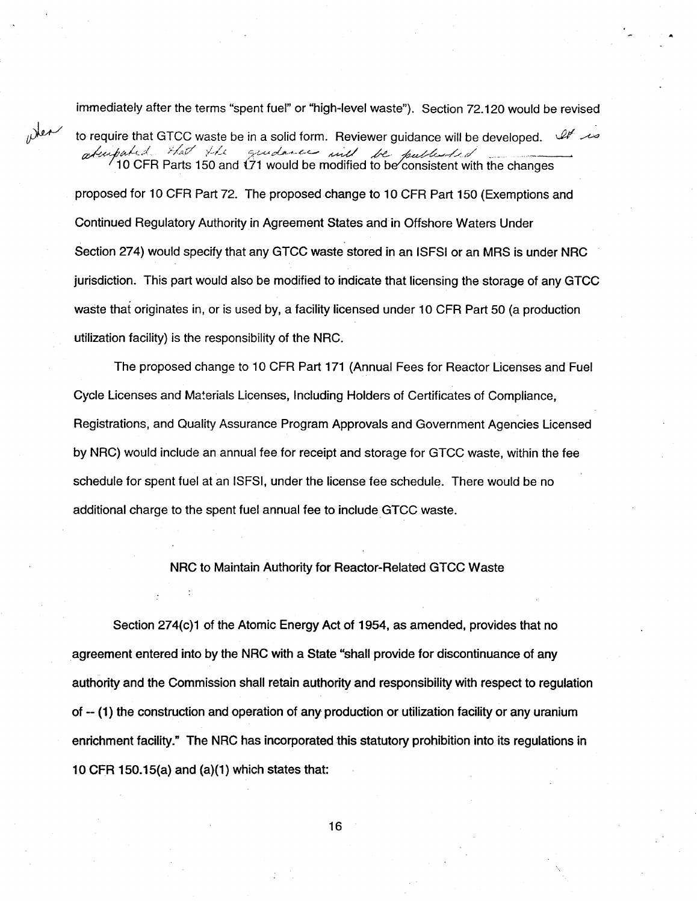immediately after the terms "spent fuel" or "high-level waste"). Section 72.120 would be revised

wher

*Sto* require that GTCC waste be in a solid form. Reviewer guidance will be developed. ' adm part of the guidance and the publicity of  $\alpha$  and the changes proposed for 10 CFR Part 72. The proposed change to 10 CFR Part 150 (Exemptions and Continued Regulatory Authority in Agreement States and in Offshore Waters Under Section 274) would specify that any GTCC waste stored in an ISFSI or an MRS is under NRC jurisdiction. This part would also be modified to indicate that licensing the storage of any GTCC waste that originates in, or is used by, a facility licensed under 10 CFR Part 50 (a production utilization facility) is the responsibility of the NRC.

The proposed change to 10 CFR Part 171 (Annual Fees for Reactor Licenses and Fuel Cycle Licenses and Materials Licenses, Including Holders of Certificates of Compliance, Registrations, and Quality Assurance Program Approvals and Government Agencies Licensed by NRC) would include an annual fee for receipt and storage for GTCC waste, within the fee schedule for spent fuel at an ISFSI, under the license fee schedule. There would be no additional charge to the spent fuel annual fee to include GTCC waste.

NRC to Maintain Authority for Reactor-Related GTCC Waste

Section 274(c)1 of the Atomic Energy Act of 1954, as amended, provides that no agreement entered into by the NRC with a State "shall provide for discontinuance of any authority and the Commission shall retain authority and responsibility with respect to regulation of - (1) the construction and operation of any production or utilization facility or any uranium enrichment facility." The NRC has incorporated this statutory prohibition into its regulations in 10 CFR 150.15(a) and (a)(1) which states that: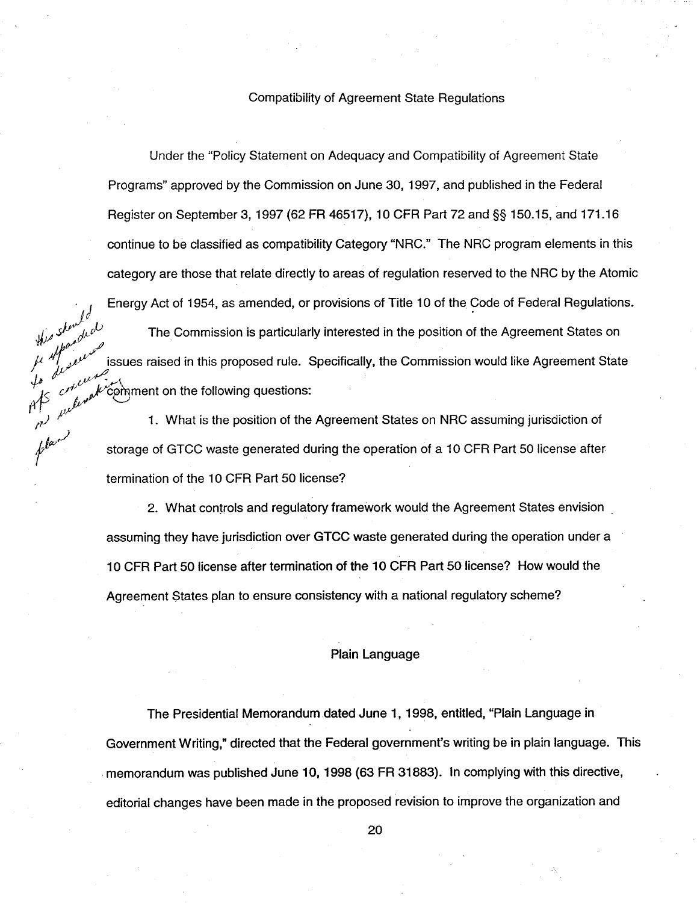#### Compatibility of Agreement State Regulations

Under the "Policy Statement on Adequacy and Compatibility of Agreement State Programs" approved by the Commission on June 30, 1997, and published in the Federal Register on September 3, 1997 (62 FR 46517), 10 CFR Part 72 and §§ 150.15, and 171.16 continue to be classified as compatibility Category "NRC." The NRC program elements in this category are those that relate directly to areas of regulation reserved to the NRC by the Atomic

Energy Act of 1954, as amended, or provisions of Title 10 of the Code of Federal Regulations.<br>The Commission is particularly interested in the nosition of the Code of Federal Regulations.<br>هر المسلم المقدم المسلم المقدم ال The Commission is particularly interested in the position of the Agreement States on issues raised in this proposed rule. Specifically, the Commission would like Agreement State  $\nu$  comment on the following questions:

 $\mu$ 

/7-'  $h^{\mu\nu}$ 

c-ti  $\mu$ 

shewlow<br>flandwal

1. What is the position of the Agreement States on NRC assuming jurisdiction of storage of GTCC waste generated during the operation of a 10 CFR Part 50 license after termination of the 10 CFR Part 50 license?

2. What controls and regulatory framework would the Agreement States envision assuming they have jurisdiction over GTCC waste generated during the operation under a 10 CFR Part 50 license after termination of the 10 CFR Part 50 license? How would the Agreement States plan to ensure consistency with a national regulatory scheme?

#### Plain Language

The Presidential Memorandum dated June 1, 1998, entitled, "Plain Language in Government Writing," directed that the Federal government's writing be in plain language. This memorandum was published June 10, 1998 (63 FR 31883). In complying with this directive, editorial changes have been made in the proposed revision to improve the organization and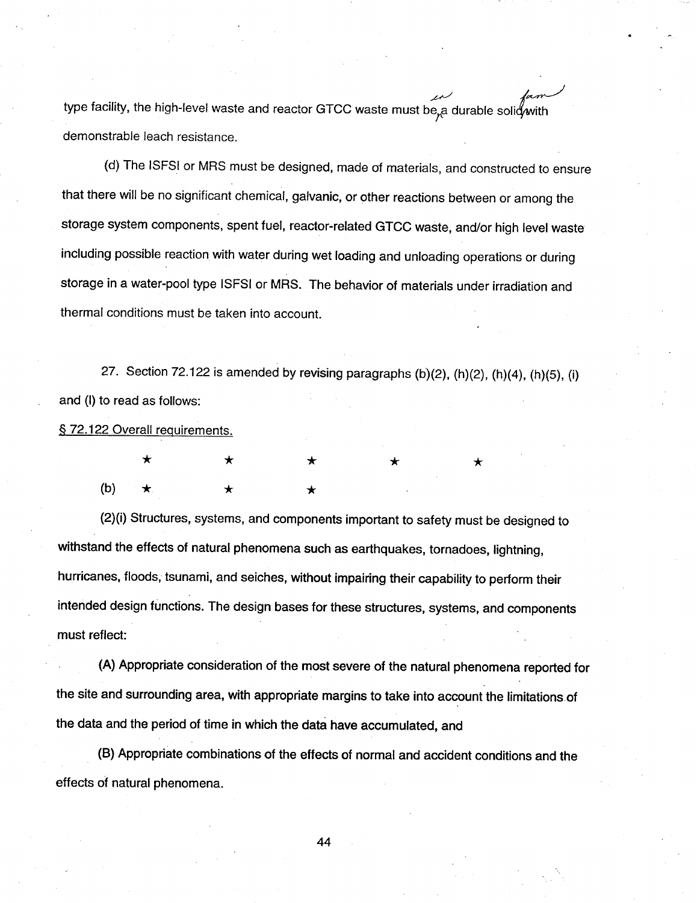له برجم<br>type facility, the high-level waste and reactor GTCC waste must be, a durable solid with demonstrable leach resistance.

(d) The ISFSI or MRS must be designed, made of materials, and constructed to ensure that there will be no significant chemical, galvanic, or other reactions between or among the storage system components, spent fuel, reactor-related GTCC waste, and/or high level waste including possible reaction with water during wet loading and unloading operations or during storage in a water-pool type ISFSI or MRS. The behavior of materials under irradiation and thermal conditions must be taken into account.

27. Section 72.122 is amended by revising paragraphs (b)(2), (h)(2), (h)(4), (h)(5), (i) and (I) to read as follows:

§ 72.122 Overall requirements.

|  |                     | $\star$ $\star$ $\star$ $\star$ $\star$ |  |
|--|---------------------|-----------------------------------------|--|
|  | (b) $\star$ $\star$ |                                         |  |

(2)(i) Structures, systems, and components important to safety must be designed to withstand the effects of natural phenomena such as earthquakes, tornadoes, lightning, hurricanes, floods, tsunami, and seiches, without impairing their capability to perform their intended design functions. The design bases for these structures, systems, and components must reflect:

(A) Appropriate consideration of the most severe of the natural phenomena reported for the site and surrounding area, with appropriate margins to take into account the limitations of the data and the period of time in which the data have accumulated, and

(B) Appropriate combinations of the effects of normal and accident conditions and the effects of natural phenomena.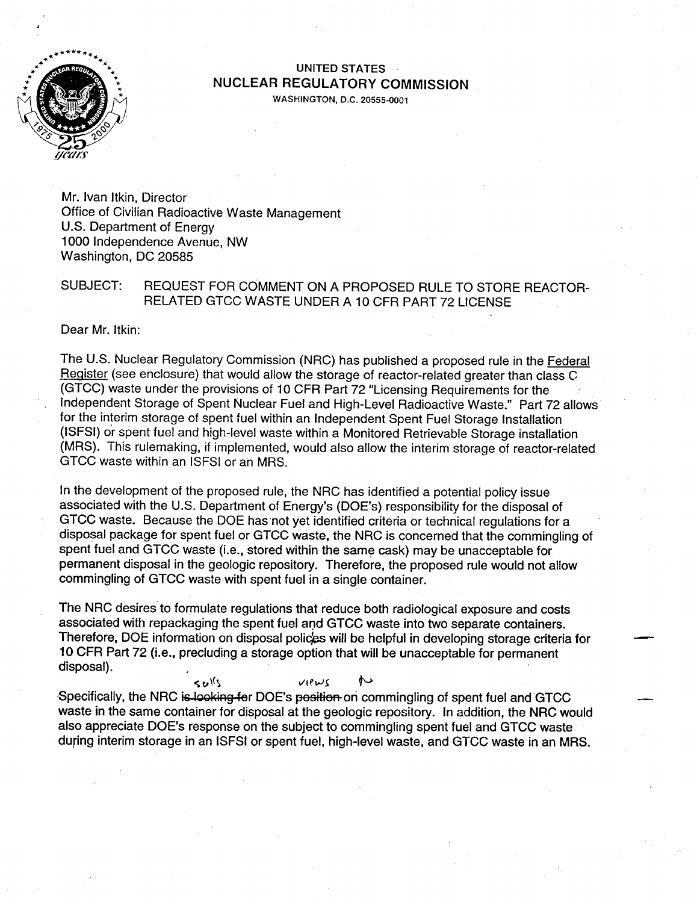

# **\* UNITED STATES NUCLEAR** REGULATORY **COMMISSION**

**WASHINGTON, D.C. 20555-0001** 

Mr. Ivan Itkin, Director Office of Civilian Radioactive Waste Management U.S. Department of Energy 1000 Independence Avenue, NW Washington, DC 20585

#### SUBJECT: REQUEST FOR COMMENT ON A PROPOSED RULE TO STORE REACTOR RELATED GTCC WASTE UNDER A 10 CFR PART 72 LICENSE

Dear Mr. Itkin:

The U.S. Nuclear Regulatory Commission (NRC) has published a proposed rule in the Federal Register (see enclosure) that would allow the storage of reactor-related greater than class C (GTCC) waste under the provisions of 10 CFR Part 72 "Licensing Requirements for the Independent Storage of Spent Nuclear Fuel and High-Level Radioactive Waste." Part 72 allows for the interim storage of spent fuel within an Independent Spent Fuel Storage Installation (ISFSI) or spent fuel and high-level waste within a Monitored Retrievable Storage installation (MRS). This rulemaking, if implemented, would also allow the interim storage of reactor-related GTCC waste within an ISFSI or an MRS.

In the development of the proposed rule, the NRC has identified a potential policy issue associated with the U.S. Department of Energy's (DOE's) responsibility for the disposal of GTCC waste. Because the DOE has not yet identified criteria or technical regulations for a disposal package for spent fuel or GTCC waste, the NRC is concerned that the commingling of spent fuel and GTCC waste (i.e., stored within the same cask) may be unacceptable for permanent disposal in the geologic repository. Therefore, the proposed rule would not allow commingling of GTCC waste with spent fuel in a single container.

The NRC desires to formulate regulations that reduce both radiological exposure and costs associated with repackaging the spent fuel and GTCC waste into two separate containers. Therefore, DOE information on disposal polices will be helpful in developing storage criteria for 10 CFR Part 72 (i.e., precluding a storage option that will be unacceptable for permanent disposal).

 $\mathbf{s}_{\mathbf{v}}$  is  $\mathbf{s}_{\mathbf{v}}$  is  $\mathbf{s}_{\mathbf{v}}$  and  $\mathbf{s}_{\mathbf{v}}$  and  $\mathbf{s}_{\mathbf{v}}$  and  $\mathbf{s}_{\mathbf{v}}$  and  $\mathbf{s}_{\mathbf{v}}$  and  $\mathbf{s}_{\mathbf{v}}$  and  $\mathbf{s}_{\mathbf{v}}$  and  $\mathbf{s}_{\mathbf{v}}$  and  $\mathbf{s}_{\mathbf{v}}$  and  $\mathbf{s}_{\mathbf{v}}$  and  $\mathbf{s}_{\$ waste in the same container for disposal at the geologic repository. In addition, the NRC would also appreciate DOE's response on the subject to commingling spent fuel and GTCC waste during interim storage in an **ISFSI** or spent fuel, high-level waste, and GTCC waste in an MRS.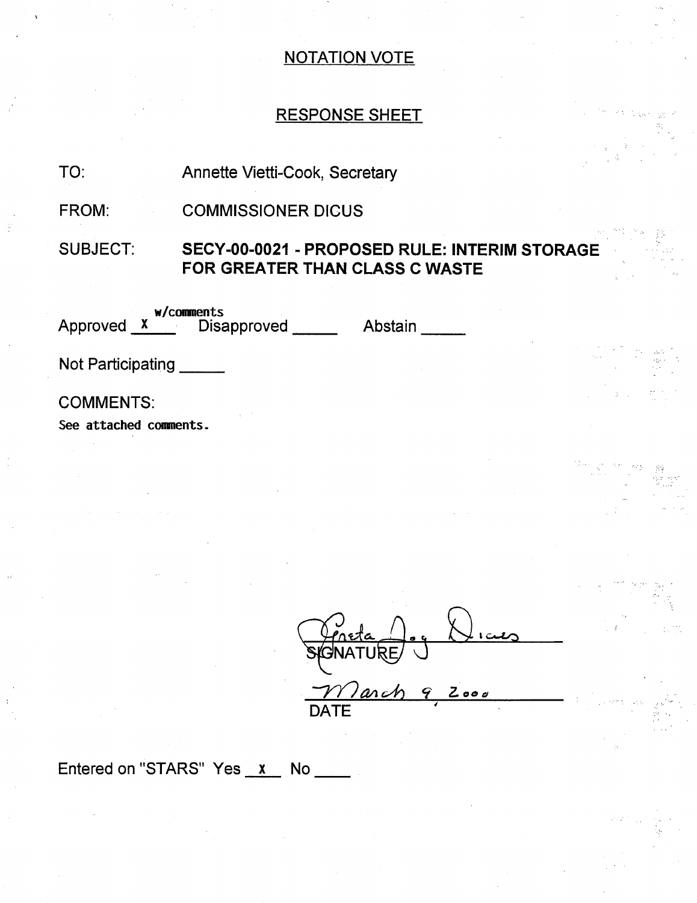# RESPONSE SHEET

#### TO: Annette Vietti-Cook, Secretary

FROM: COMMISSIONER DICUS

SUBJECT: **SECY-00-0021** - PROPOSED RULE: INTERIM STORAGE FOR GREATER **THAN CLASS C** WASTE

| w/comments<br>Approved X Disapproved       | Abstain |
|--------------------------------------------|---------|
| Not Participating                          |         |
| <b>COMMENTS:</b><br>See attached comments. |         |

 $\partial$ arch 9 Z000 DATE

Entered on "STARS" Yes  $x$  No  $\_\_\_\_\$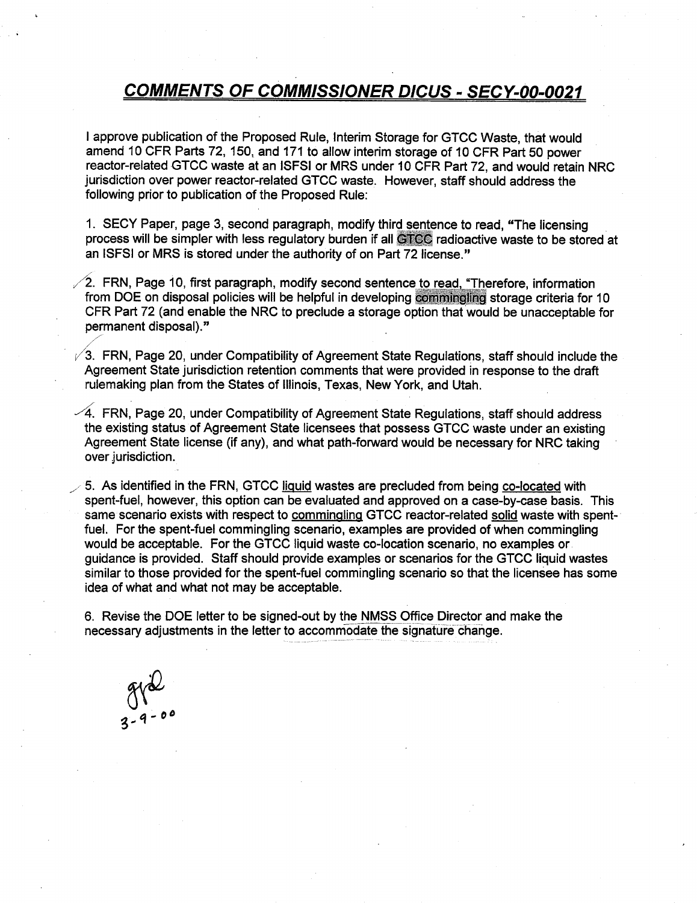### *COMMENTS OF COMMISSIONER DICUS* - *SECY-O0-0021*

I approve publication of the Proposed Rule, Interim Storage for GTCC Waste, that would amend 10 CFR Parts 72, 150, and 171 to allow interim storage of 10 CFR Part 50 power reactor-related GTCC waste at an ISFSI or MRS under 10 CFR Part 72, and would retain NRC jurisdiction over power reactor-related GTCC waste. However, staff should address the following prior to publication of the Proposed Rule:

1. SECY Paper, page 3, second paragraph, modify third sentence to read, "The licensing process will be simpler with less regulatory burden if all **GTCC** radioactive waste to be stored at an ISFSI or MRS is stored under the authority of on Part 72 license."

**/i2.** FRN, Page **10,** first paragraph, modify second sentence to read, "Therefore, information from DOE on disposal policies will be helpful in developing commingling storage criteria for 10 CFR Part 72 (and enable the NRC to preclude a storage option that would be unacceptable for permanent disposal)."

**/3.** FRN, Page 20, under Compatibility of Agreement State Regulations, staff should include the Agreement State jurisdiction retention comments that were provided in response to the draft rulemaking plan from the States of Illinois, Texas, New York, and Utah.

 $-4$ . FRN, Page 20, under Compatibility of Agreement State Regulations, staff should address the existing status of Agreement State licensees that possess GTCC waste under an existing Agreement State license (if any), and what path-forward would be necessary for NRC taking over jurisdiction.

5. As identified in the FRN, GTCC liquid wastes are precluded from being co-located with spent-fuel, however, this option can be evaluated and approved on a case-by-case basis. This same scenario exists with respect to commingling GTCC reactor-related solid waste with spent fuel. For the spent-fuel commingling scenario, examples are provided of when commingling would be acceptable. For the GTCC liquid waste co-location scenario, no examples or guidance is provided. Staff should provide examples or scenarios for the GTCC liquid wastes similar to those provided for the spent-fuel commingling scenario so that the licensee has some idea of what and what not may be acceptable.

6. Revise the DOE letter to be signed-out by the NMSS Office Director and make the necessary adjustments in the letter to accommodate the signature change.

 $912$ <br>3-9-00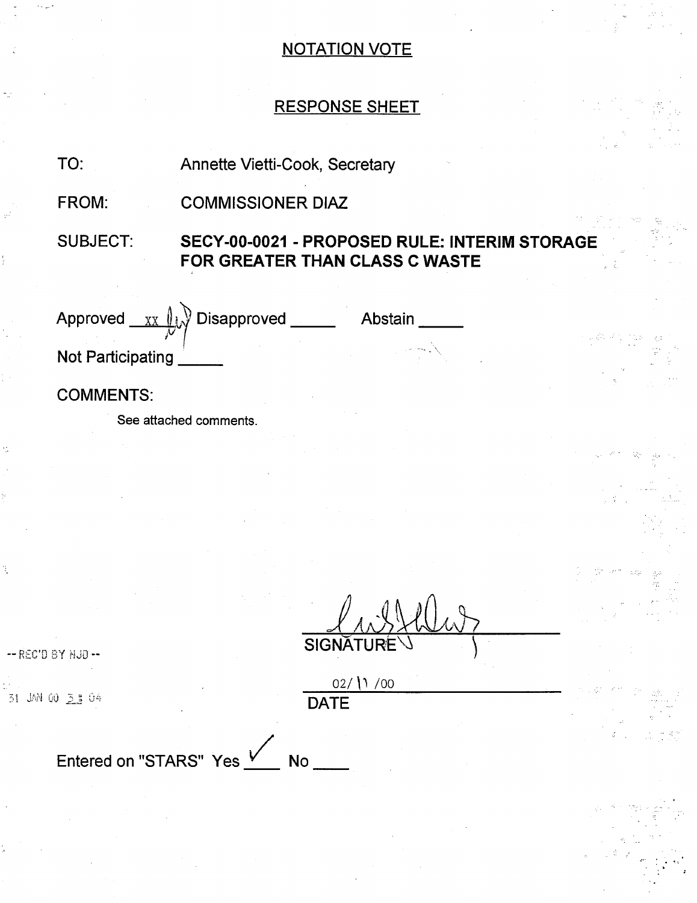# RESPONSE SHEET

| TO:                      | Annette Vietti-Cook, Secretary                                                  |                             |         |  |
|--------------------------|---------------------------------------------------------------------------------|-----------------------------|---------|--|
| FROM:                    | <b>COMMISSIONER DIAZ</b>                                                        |                             |         |  |
| <b>SUBJECT:</b>          | SECY-00-0021 - PROPOSED RULE: INTERIM STORAGE<br>FOR GREATER THAN CLASS C WASTE |                             |         |  |
| Approved<br>XX           | <b>Disapproved</b>                                                              |                             | Abstain |  |
| <b>Not Participating</b> |                                                                                 |                             |         |  |
| <b>COMMENTS:</b>         |                                                                                 |                             |         |  |
|                          | See attached comments.                                                          |                             |         |  |
|                          |                                                                                 |                             |         |  |
|                          |                                                                                 |                             |         |  |
|                          |                                                                                 |                             |         |  |
|                          |                                                                                 |                             |         |  |
|                          |                                                                                 |                             |         |  |
| -- REC'D BY HJD --       |                                                                                 | <b>SIGNATURE</b>            |         |  |
| 31 JAN 00 3 1 04         |                                                                                 | $02/$ (1 /00<br><b>DATE</b> |         |  |
| Entered on "STARS" Yes V |                                                                                 | <b>No</b>                   |         |  |
|                          |                                                                                 |                             |         |  |
|                          |                                                                                 |                             |         |  |
|                          |                                                                                 |                             |         |  |

ł.

Ŕ,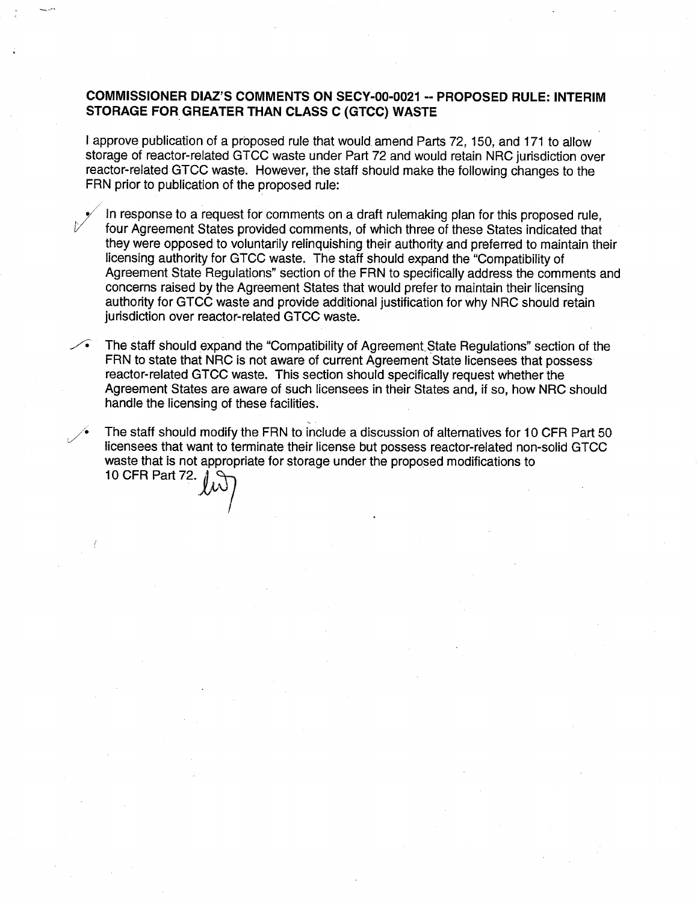#### **COMMISSIONER DIAZ'S COMMENTS ON SECY-00-0021** -- PROPOSED RULE: INTERIM STORAGE FOR GREATER **THAN CLASS C (GTCC)** WASTE

I approve publication of a proposed rule that would amend Parts 72, 150, and 171 to allow storage of reactor-related GTCC waste under Part 72 and would retain NRC jurisdiction over reactor-related GTCC waste. However, the staff should make the following changes to the FRN prior to publication of the proposed rule:

In response to a request for comments on a draft rulemaking plan for this proposed rule, four Agreement States provided comments, of which three of these States indicated that they were opposed to voluntarily relinquishing their authority and preferred to maintain their licensing authority for GTCC waste. The staff should expand the "Compatibility of Agreement State Regulations" section of the FRN to specifically address the comments and concerns raised by the Agreement States that would prefer to maintain their licensing authority for GTCC waste and provide additional justification for why NRC should retain jurisdiction over reactor-related GTCC waste.

The staff should expand the "Compatibility of Agreement State Regulations" section of the FRN to state that NRC is not aware of current Agreement State licensees that possess reactor-related GTCC waste. This section should specifically request whether the Agreement States are aware of such licensees in their States and, if so, how NRC should handle the licensing of these facilities.

The staff should modify the FRN to include a discussion of alternatives for 10 CFR Part 50 licensees that want to terminate their license but possess reactor-related non-solid GTCC waste that is not appropriate for storage under the proposed modifications to 10 CFR Part **72.**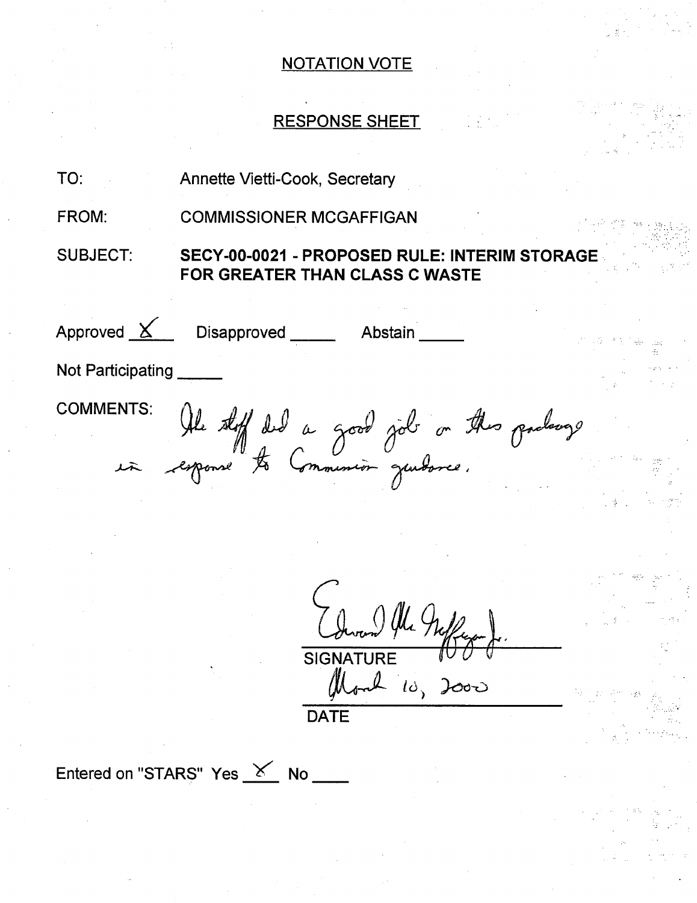# RESPONSE SHEET

| TO:               | Annette Vietti-Cook, Secretary                                                  |  |
|-------------------|---------------------------------------------------------------------------------|--|
| FROM:             | <b>COMMISSIONER MCGAFFIGAN</b>                                                  |  |
| <b>SUBJECT:</b>   | SECY-00-0021 - PROPOSED RULE: INTERIM STORAGE<br>FOR GREATER THAN CLASS C WASTE |  |
| Approved $X$      | Disapproved _______ Abstain                                                     |  |
| Not Participating |                                                                                 |  |
| <b>COMMENTS:</b>  |                                                                                 |  |
|                   | NIS: Ale stoff ded a good job on this podange                                   |  |
|                   |                                                                                 |  |
|                   |                                                                                 |  |

SIGNATURE  $\mathbb{I} \cup \mathbb{U}$ **DATE ),00-CD**

Entered on "STARS" Yes  $X$  No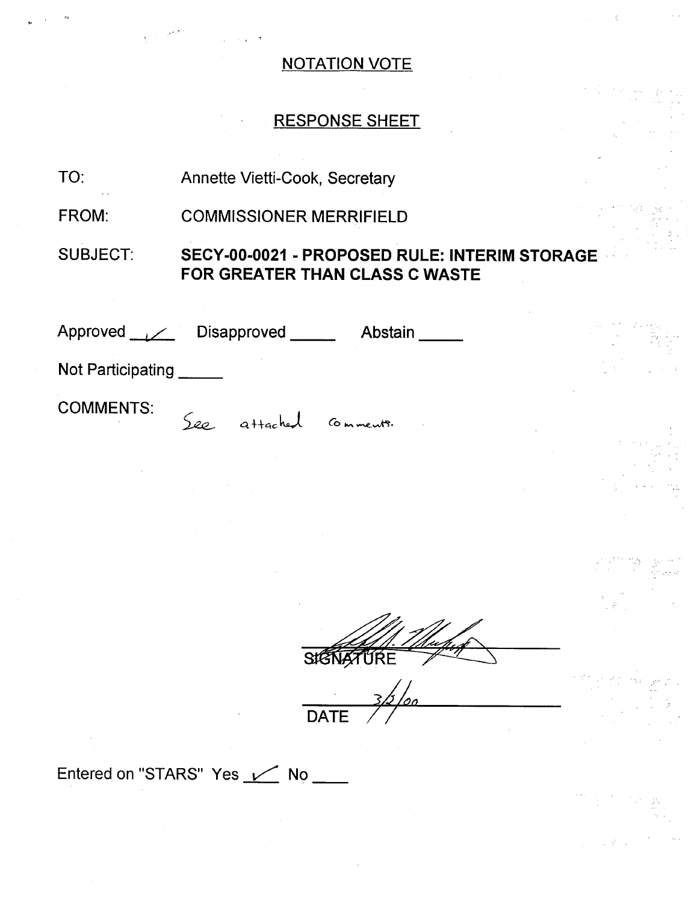# RESPONSE SHEET

Annette Vietti-Cook, Secretary TO:

COMMISSIONER MERRIFIELD FROM:

SUBJECT: **SECY-00-0021** - PROPOSED RULE: INTERIM STORAGE FOR GREATER **THAN CLASS C** WASTE

| Approved // Disapproved |        |                    | Abstain |  | ing r |
|-------------------------|--------|--------------------|---------|--|-------|
| Not Participating       |        |                    |         |  |       |
| <b>COMMENTS:</b>        | $S$ eo | attached comments. |         |  |       |

**SIGNATURE** 

**DATE** 

Entered on "STARS" Yes / No \_\_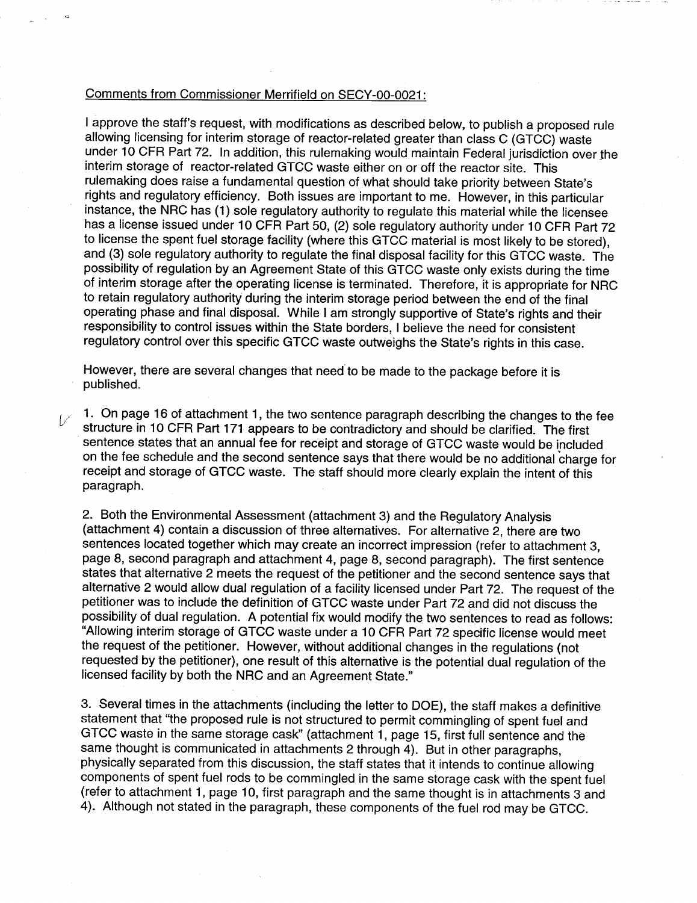#### Comments from Commissioner Merrifield on SECY-00-0021:

I approve the staff's request, with modifications as described below, to publish a proposed rule allowing licensing for interim storage of reactor-related greater than class C (GTCC) waste under 10 CFR Part 72. In addition, this rulemaking would maintain Federal jurisdiction over the interim storage of reactor-related GTCC waste either on or off the reactor site. This rulemaking does raise a fundamental question of what should take priority between State's rights and regulatory efficiency. Both issues are important to me. However, in this particular instance, the NRC has (1) sole regulatory authority to regulate this material while the licensee has a license issued under 10 CFR Part 50, (2) sole regulatory authority under 10 CFR Part 72 to license the spent fuel storage facility (where this GTCC material is most likely to be stored), and (3) sole regulatory authority to regulate the final disposal facility for this GTCC waste. The possibility of regulation by an Agreement State of this GTCC waste only exists during the time of interim storage after the operating license is terminated. Therefore, it is appropriate for NRC to retain regulatory authority during the interim storage period between the end of the final operating phase and final disposal. While I am strongly supportive of State's rights and their responsibility to control issues within the State borders, I believe the need for consistent regulatory control over this specific GTCC waste outweighs the State's rights in this case.

However, there are several changes that need to be made to the package before it is published.

1. On page 16 of attachment 1, the two sentence paragraph describing the changes to the fee structure in 10 CFR Part 171 appears to be contradictory and should be clarified. The first sentence states that an annual fee for receipt and storage of GTCC waste would be included on the fee schedule and the second sentence says that there would be no additional charge for receipt and storage of GTCC waste. The staff should more clearly explain the intent of this paragraph.

2. Both the Environmental Assessment (attachment 3) and the Regulatory Analysis (attachment 4) contain a discussion of three alternatives. For alternative 2, there are two sentences located together which may create an incorrect impression (refer to attachment 3, page 8, second paragraph and attachment 4, page 8, second paragraph). The first sentence states that alternative 2 meets the request of the petitioner and the second sentence says that alternative 2 would allow dual regulation of a facility licensed under Part 72. The request of the petitioner was to include the definition of GTCC waste under Part 72 and did not discuss the possibility of dual regulation. A potential fix would modify the two sentences to read as follows: "Allowing interim storage of GTCC waste under a 10 CFR Part 72 specific license would meet the request of the petitioner. However, without additional changes in the regulations (not requested by the petitioner), one result of this alternative is the potential dual regulation of the licensed facility by both the NRC and an Agreement State."

3. Several times in the attachments (including the letter to DOE), the staff makes a definitive statement that "the proposed rule is not structured to permit commingling of spent fuel and GTCC waste in the same storage cask" (attachment 1, page 15, first full sentence and the same thought is communicated in attachments 2 through 4). But in other paragraphs, physically separated from this discussion, the staff states that it intends to continue allowing components of spent fuel rods to be commingled in the same storage cask with the spent fuel (refer to attachment 1, page 10, first paragraph and the same thought is in attachments 3 and 4). Although not stated in the paragraph, these components of the fuel rod may be GTCC.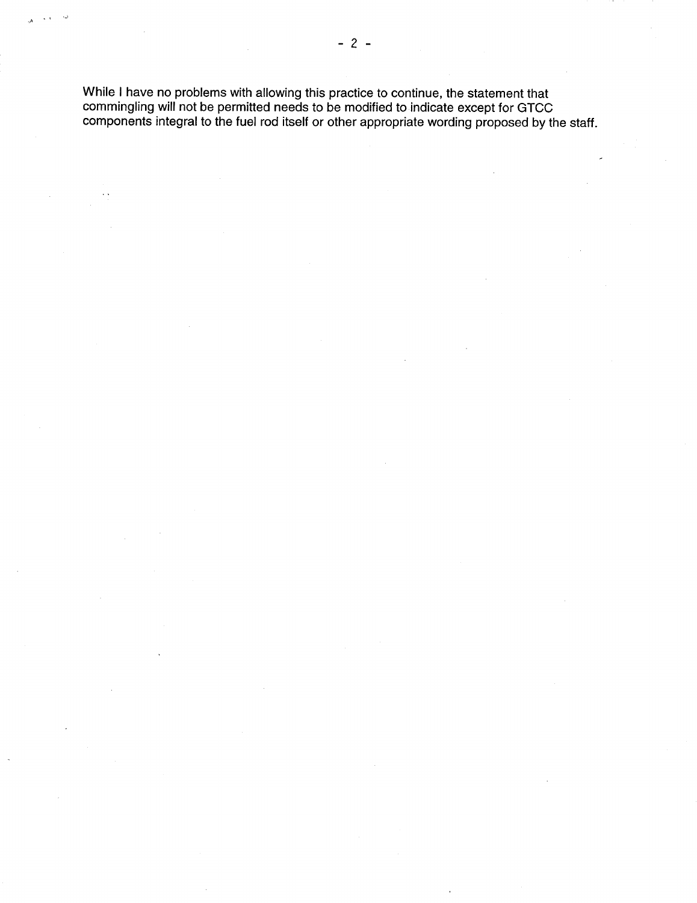While I have no problems with allowing this practice to continue, the statement that commingling will not be permitted needs to be modified to indicate except for GTCC components integral to the fuel rod itself or other appropriate wording proposed by the staff.

 $\mathcal{L}$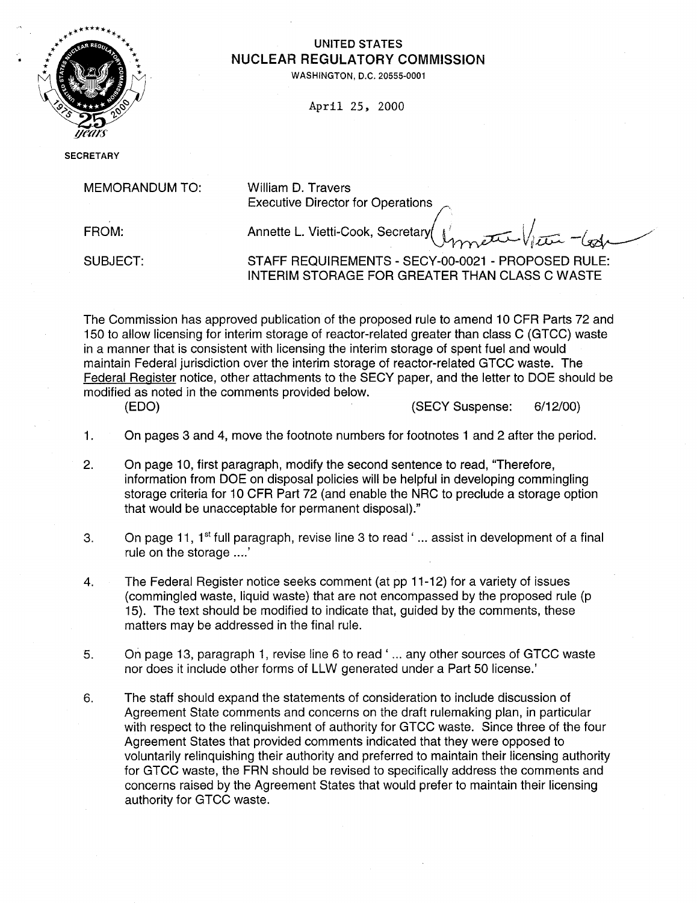

# UNITED STATES \*\* **NUCLEAR** REGULATORY **COMMISSION**

**WASHINGTON, D.C. 20555-0001** 

April 25, 2000

**SECRETARY** 

MEMORANDUM TO: William D. Travers

Executive Director for Operations(

FROM: **Annette L. Vietti-Cook, Secretary** *V* 

SUBJECT: STAFF REQUIREMENTS - SECY-00-0021 - PROPOSED RULE: INTERIM STORAGE FOR GREATER THAN CLASS C WASTE

The Commission has approved publication of the proposed rule to amend 10 CFR Parts 72 and 150 to allow licensing for interim storage of reactor-related greater than class C (GTCC) waste in a manner that is consistent with licensing the interim storage of spent fuel and would maintain Federal jurisdiction over the interim storage of reactor-related GTCC waste. The Federal Register notice, other attachments to the SECY paper, and the letter to DOE should be modified as noted in the comments provided below.

(EDO) (SECY Suspense: 6/12/00)

- 1. On pages 3 and 4, move the footnote numbers for footnotes 1 and 2 after the period.
- 2. On page 10, first paragraph, modify the second sentence to read, "Therefore, information from DOE on disposal policies will be helpful in developing commingling storage criteria for 10 CFR Part 72 (and enable the NRC to preclude a storage option that would be unacceptable for permanent disposal)."
- 3. On page 11,  $1<sup>st</sup>$  full paragraph, revise line 3 to read '... assist in development of a final rule on the storage ....'
- 4. The Federal Register notice seeks comment (at pp 11-12) for a variety of issues (commingled waste, liquid waste) that are not encompassed by the proposed rule (p 15). The text should be modified to indicate that, guided by the comments, these matters may be addressed in the final rule.
- 5. On page 13, paragraph 1, revise line 6 to read' ... any other sources of GTCC waste nor does it include other forms of LLW generated under a Part 50 license.'
- 6. The staff should expand the statements of consideration to include discussion of Agreement State comments and concerns on the draft rulemaking plan, in particular with respect to the relinquishment of authority for GTCC waste. Since three of the four Agreement States that provided comments indicated that they were opposed to voluntarily relinquishing their authority and preferred to maintain their licensing authority for GTCC waste, the FRN should be revised to specifically address the comments and concerns raised by the Agreement States that would prefer to maintain their licensing authority for GTCC waste.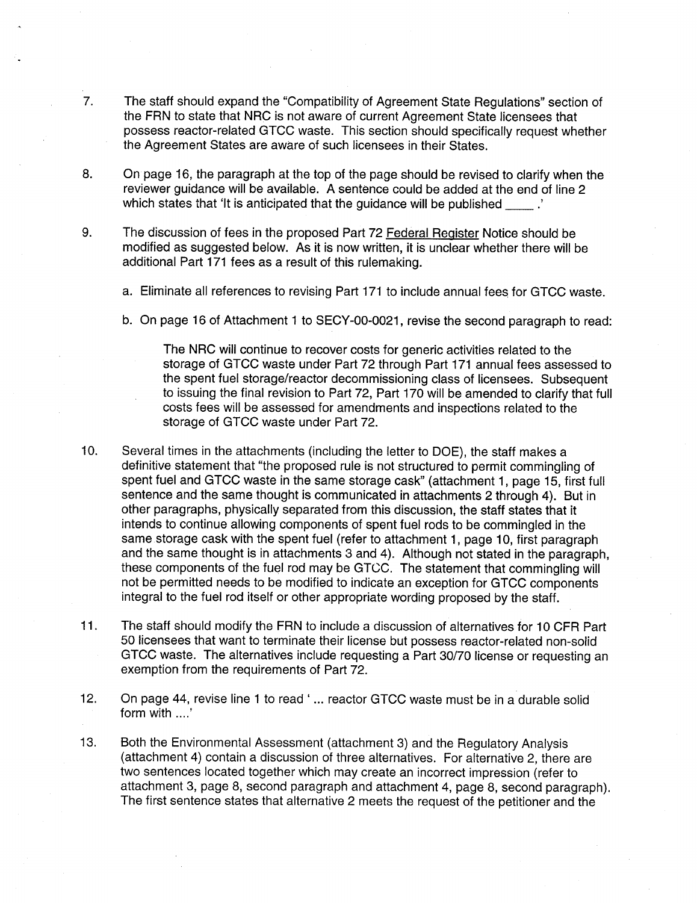- 7. The staff should expand the "Compatibility of Agreement State Regulations" section of the FRN to state that NRC is not aware of current Agreement State licensees that possess reactor-related GTCC waste. This section should specifically request whether the Agreement States are aware of such licensees in their States.
- 8. On page 16, the paragraph at the top of the page should be revised to clarify when the reviewer guidance will be available. A sentence could be added at the end of line 2 which states that 'It is anticipated that the guidance will be published  $\therefore$
- 9. The discussion of fees in the proposed Part 72 Federal Register Notice should be modified as suggested below. As it is now written, it is unclear whether there will be additional Part 171 fees as a result of this rulemaking.
	- a. Eliminate all references to revising Part 171 to include annual fees for GTCC waste.
	- b. On page 16 of Attachment 1 to SECY-00-0021, revise the second paragraph to read:

The NRC will continue to recover costs for generic activities related to the storage of GTCC waste under Part 72 through Part 171 annual fees assessed to the spent fuel storage/reactor decommissioning class of licensees. Subsequent to issuing the final revision to Part 72, Part 170 will be amended to clarify that full costs fees will be assessed for amendments and inspections related to the storage of GTCC waste under Part 72.

- 10. Several times in the attachments (including the letter to DOE), the staff makes a definitive statement that "the proposed rule is not structured to permit commingling of spent fuel and GTCC waste in the same storage cask" (attachment 1, page 15, first full sentence and the same thought is communicated in attachments 2 through 4). But in other paragraphs, physically separated from this discussion, the staff states that it intends to continue allowing components of spent fuel rods to be commingled in the same storage cask with the spent fuel (refer to attachment 1, page 10, first paragraph and the same thought is in attachments 3 and 4). Although not stated in the paragraph, these components of the fuel rod may be GTCC. The statement that commingling will not be permitted needs to be modified to indicate an exception for GTCC components integral to the fuel rod itself or other appropriate wording proposed by the staff.
- 11. The staff should modify the FRN to include a discussion of alternatives for 10 CFR Part 50 licensees that want to terminate their license but possess reactor-related non-solid GTCC waste. The alternatives include requesting a Part 30/70 license or requesting an exemption from the requirements of Part 72.
- 12. On page 44, revise line 1 to read ' ... reactor GTCC waste must be in a durable solid form with ....'
- 13. Both the Environmental Assessment (attachment 3) and the Regulatory Analysis (attachment 4) contain a discussion of three alternatives. For alternative 2, there are two sentences located together which may create an incorrect impression (refer to attachment 3, page 8, second paragraph and attachment 4, page 8, second paragraph). The first sentence states that alternative 2 meets the request of the petitioner and the